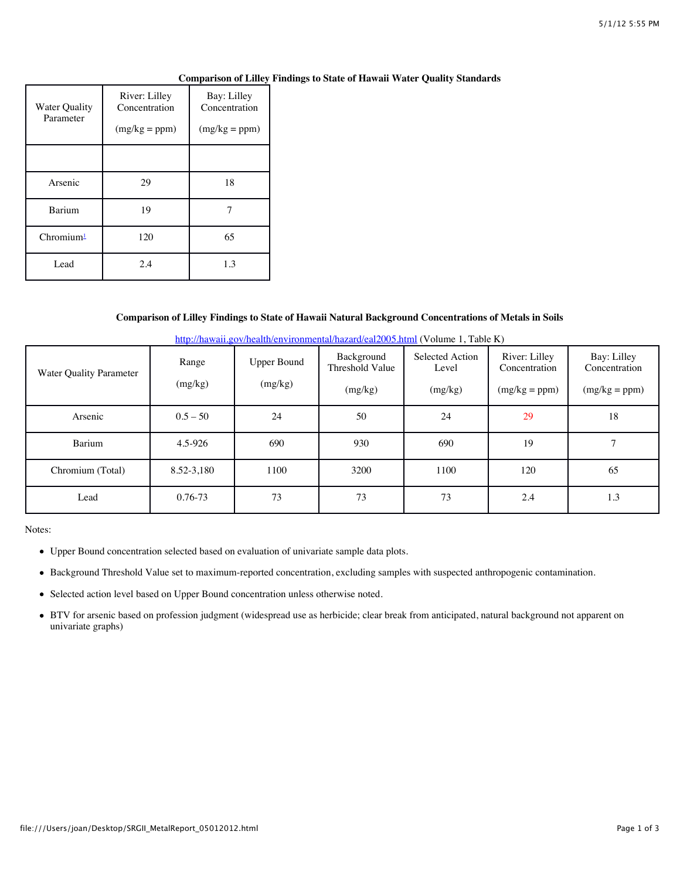| <b>Water Quality</b><br>Parameter | River: Lilley<br>Concentration<br>$(mg/kg = ppm)$ | Bay: Lilley<br>Concentration<br>$(mg/kg = ppm)$ |  |  |
|-----------------------------------|---------------------------------------------------|-------------------------------------------------|--|--|
|                                   |                                                   |                                                 |  |  |
| Arsenic                           | 29                                                | 18                                              |  |  |
| Barium                            | 19                                                |                                                 |  |  |
| Chromium <sup>1</sup>             | 120                                               | 65                                              |  |  |
| Lead                              | 2.4                                               | 1.3                                             |  |  |

## **Comparison of Lilley Findings to State of Hawaii Water Quality Standards**

## **Comparison of Lilley Findings to State of Hawaii Natural Background Concentrations of Metals in Soils**

| Water Quality Parameter | Range<br>(mg/kg) | <b>Upper Bound</b><br>(mg/kg) | Background<br>Threshold Value<br>(mg/kg) | Selected Action<br>Level<br>(mg/kg) | River: Lilley<br>Concentration<br>$(mg/kg = ppm)$ | Bay: Lilley<br>Concentration<br>$(mg/kg = ppm)$ |
|-------------------------|------------------|-------------------------------|------------------------------------------|-------------------------------------|---------------------------------------------------|-------------------------------------------------|
| Arsenic                 | $0.5 - 50$       | 24                            | 50                                       | 24                                  | 29                                                | 18                                              |
| Barium                  | 4.5-926          | 690                           | 930                                      | 690                                 | 19                                                |                                                 |
| Chromium (Total)        | 8.52-3,180       | 1100                          | 3200                                     | 1100                                | 120                                               | 65                                              |
| Lead                    | 0.76-73          | 73                            | 73                                       | 73                                  | 2.4                                               | 1.3                                             |

<http://hawaii.gov/health/environmental/hazard/eal2005.html>(Volume 1, Table K)

Notes:

- Upper Bound concentration selected based on evaluation of univariate sample data plots.
- Background Threshold Value set to maximum-reported concentration, excluding samples with suspected anthropogenic contamination.
- Selected action level based on Upper Bound concentration unless otherwise noted.
- BTV for arsenic based on profession judgment (widespread use as herbicide; clear break from anticipated, natural background not apparent on univariate graphs)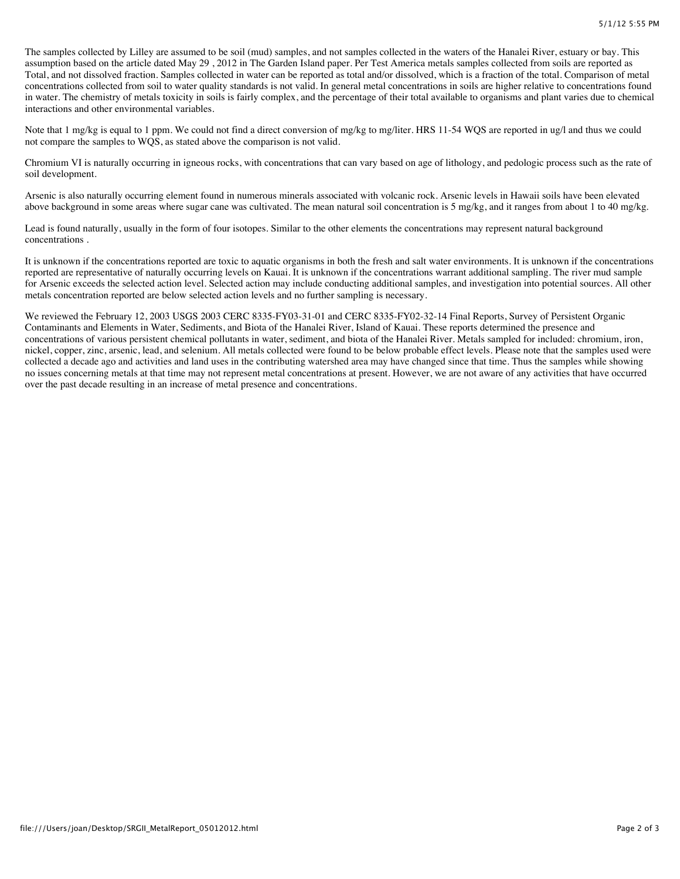The samples collected by Lilley are assumed to be soil (mud) samples, and not samples collected in the waters of the Hanalei River, estuary or bay. This assumption based on the article dated May 29 , 2012 in The Garden Island paper. Per Test America metals samples collected from soils are reported as Total, and not dissolved fraction. Samples collected in water can be reported as total and/or dissolved, which is a fraction of the total. Comparison of metal concentrations collected from soil to water quality standards is not valid. In general metal concentrations in soils are higher relative to concentrations found in water. The chemistry of metals toxicity in soils is fairly complex, and the percentage of their total available to organisms and plant varies due to chemical interactions and other environmental variables.

Note that 1 mg/kg is equal to 1 ppm. We could not find a direct conversion of mg/kg to mg/liter. HRS 11-54 WQS are reported in ug/l and thus we could not compare the samples to WQS, as stated above the comparison is not valid.

Chromium VI is naturally occurring in igneous rocks, with concentrations that can vary based on age of lithology, and pedologic process such as the rate of soil development.

Arsenic is also naturally occurring element found in numerous minerals associated with volcanic rock. Arsenic levels in Hawaii soils have been elevated above background in some areas where sugar cane was cultivated. The mean natural soil concentration is 5 mg/kg, and it ranges from about 1 to 40 mg/kg.

Lead is found naturally, usually in the form of four isotopes. Similar to the other elements the concentrations may represent natural background concentrations .

It is unknown if the concentrations reported are toxic to aquatic organisms in both the fresh and salt water environments. It is unknown if the concentrations reported are representative of naturally occurring levels on Kauai. It is unknown if the concentrations warrant additional sampling. The river mud sample for Arsenic exceeds the selected action level. Selected action may include conducting additional samples, and investigation into potential sources. All other metals concentration reported are below selected action levels and no further sampling is necessary.

We reviewed the February 12, 2003 USGS 2003 CERC 8335-FY03-31-01 and CERC 8335-FY02-32-14 Final Reports, Survey of Persistent Organic Contaminants and Elements in Water, Sediments, and Biota of the Hanalei River, Island of Kauai. These reports determined the presence and concentrations of various persistent chemical pollutants in water, sediment, and biota of the Hanalei River. Metals sampled for included: chromium, iron, nickel, copper, zinc, arsenic, lead, and selenium. All metals collected were found to be below probable effect levels. Please note that the samples used were collected a decade ago and activities and land uses in the contributing watershed area may have changed since that time. Thus the samples while showing no issues concerning metals at that time may not represent metal concentrations at present. However, we are not aware of any activities that have occurred over the past decade resulting in an increase of metal presence and concentrations.